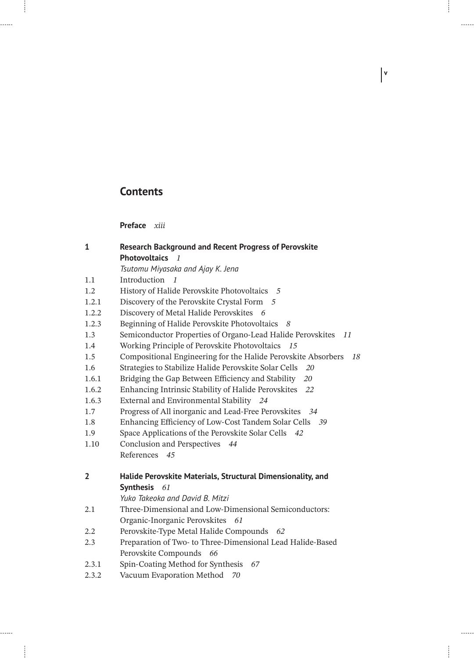## **Contents**

4

......

......

 $\frac{1}{2}$ 

**Preface** *xiii*

| $\mathbf{1}$   | <b>Research Background and Recent Progress of Perovskite</b>                          |
|----------------|---------------------------------------------------------------------------------------|
|                | <b>Photovoltaics</b><br>$\overline{\phantom{a}}$                                      |
|                | Tsutomu Miyasaka and Ajay K. Jena                                                     |
| 1.1            | Introduction<br>$\overline{1}$                                                        |
| 1.2            | History of Halide Perovskite Photovoltaics 5                                          |
| 1.2.1          | Discovery of the Perovskite Crystal Form 5                                            |
| 1.2.2          | Discovery of Metal Halide Perovskites<br>- 6                                          |
| 1.2.3          | Beginning of Halide Perovskite Photovoltaics<br>- 8                                   |
| 1.3            | Semiconductor Properties of Organo-Lead Halide Perovskites<br>11                      |
| 1.4            | Working Principle of Perovskite Photovoltaics<br>15                                   |
| 1.5            | Compositional Engineering for the Halide Perovskite Absorbers<br>18                   |
| 1.6            | Strategies to Stabilize Halide Perovskite Solar Cells<br>20                           |
| 1.6.1          | Bridging the Gap Between Efficiency and Stability<br>20                               |
| 1.6.2          | Enhancing Intrinsic Stability of Halide Perovskites<br>22                             |
| 1.6.3          | External and Environmental Stability 24                                               |
| 1.7            | Progress of All inorganic and Lead-Free Perovskites 34                                |
| 1.8            | Enhancing Efficiency of Low-Cost Tandem Solar Cells 39                                |
| 1.9            | Space Applications of the Perovskite Solar Cells 42                                   |
| 1.10           | Conclusion and Perspectives<br>44                                                     |
|                | References<br>45                                                                      |
| $\overline{2}$ | Halide Perovskite Materials, Structural Dimensionality, and                           |
|                | Synthesis 61                                                                          |
|                | Yuko Takeoka and David B. Mitzi                                                       |
| 2.1            | Three-Dimensional and Low-Dimensional Semiconductors:                                 |
|                | Organic-Inorganic Perovskites 61                                                      |
| 2.2            | Perovskite-Type Metal Halide Compounds 62                                             |
| 2.3            | Preparation of Two- to Three-Dimensional Lead Halide-Based<br>Perovskite Compounds 66 |
| 2.3.1          | Spin-Coating Method for Synthesis 67                                                  |
| 2.3.2          | Vacuum Evaporation Method<br>70                                                       |

**v**

 $\frac{1}{2}$ 

 $\frac{1}{2}$ 

 $\frac{1}{2}$ 

 $\begin{array}{c} \begin{array}{c} \begin{array}{c} \end{array} \\ \begin{array}{c} \end{array} \end{array} \end{array}$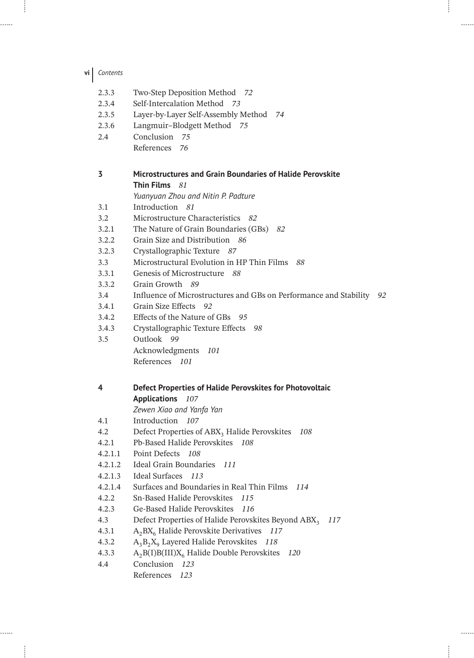**vi** *Contents*

| 2.3.3<br>2.3.4<br>2.3.5<br>2.3.6<br>2.4 | Two-Step Deposition Method 72<br>Self-Intercalation Method 73<br>Layer-by-Layer Self-Assembly Method 74<br>Langmuir-Blodgett Method 75<br>Conclusion 75 |
|-----------------------------------------|---------------------------------------------------------------------------------------------------------------------------------------------------------|
|                                         | References<br>76                                                                                                                                        |
| 3                                       | Microstructures and Grain Boundaries of Halide Perovskite<br>Thin Films 81                                                                              |
|                                         | Yuanyuan Zhou and Nitin P. Padture                                                                                                                      |
| 3.1                                     | Introduction 81                                                                                                                                         |
| 3.2                                     | Microstructure Characteristics 82                                                                                                                       |
| 3.2.1                                   | The Nature of Grain Boundaries (GBs) 82                                                                                                                 |
| 3.2.2                                   | Grain Size and Distribution 86                                                                                                                          |
| 3.2.3                                   | Crystallographic Texture 87                                                                                                                             |
| 3.3                                     | Microstructural Evolution in HP Thin Films<br>88                                                                                                        |
| 3.3.1                                   | Genesis of Microstructure 88                                                                                                                            |
| 3.3.2                                   | Grain Growth 89                                                                                                                                         |
| 3.4                                     | Influence of Microstructures and GBs on Performance and Stability<br>92                                                                                 |
| 3.4.1                                   | Grain Size Effects<br>92                                                                                                                                |
| 3.4.2                                   | Effects of the Nature of GBs<br>- 95                                                                                                                    |
| 3.4.3                                   | Crystallographic Texture Effects<br>98                                                                                                                  |
| 3.5                                     | Outlook 99                                                                                                                                              |
|                                         | Acknowledgments<br>101                                                                                                                                  |
|                                         | References 101                                                                                                                                          |
| 4                                       | Defect Properties of Halide Perovskites for Photovoltaic                                                                                                |
|                                         | Applications 107                                                                                                                                        |
|                                         | Zewen Xiao and Yanfa Yan                                                                                                                                |
| 4.1                                     | Introduction 107                                                                                                                                        |
| 4.2                                     | Defect Properties of ABX <sub>3</sub> Halide Perovskites<br>108                                                                                         |
| 4.2.1                                   | Pb-Based Halide Perovskites 108                                                                                                                         |
| 4.2.1.1                                 | Point Defects<br>108                                                                                                                                    |
| 4.2.1.2                                 | <b>Ideal Grain Boundaries</b><br>111                                                                                                                    |
| 4.2.1.3                                 | Ideal Surfaces 113                                                                                                                                      |
| 4.2.1.4                                 | Surfaces and Boundaries in Real Thin Films<br>114                                                                                                       |
| 4.2.2                                   | Sn-Based Halide Perovskites<br>115                                                                                                                      |
| 4.2.3                                   | Ge-Based Halide Perovskites<br>116                                                                                                                      |
| 4.3                                     | Defect Properties of Halide Perovskites Beyond ABX <sub>3</sub><br>117                                                                                  |
| 4.3.1                                   | $A_2BX_6$ Halide Perovskite Derivatives<br>117                                                                                                          |
| 4.3.2                                   | $A_3B_2X_9$ Layered Halide Perovskites 118                                                                                                              |
| 4.3.3<br>4.4                            | $A_2B(I)B(III)X_6$ Halide Double Perovskites<br>120<br>Conclusion<br>123                                                                                |
|                                         | References<br>123                                                                                                                                       |
|                                         |                                                                                                                                                         |

ł

. . . . . .

 $\cdots$ 

 $\frac{1}{2}$ 

ŧ

. . . . . .

. . . . . .

 $\frac{1}{2}$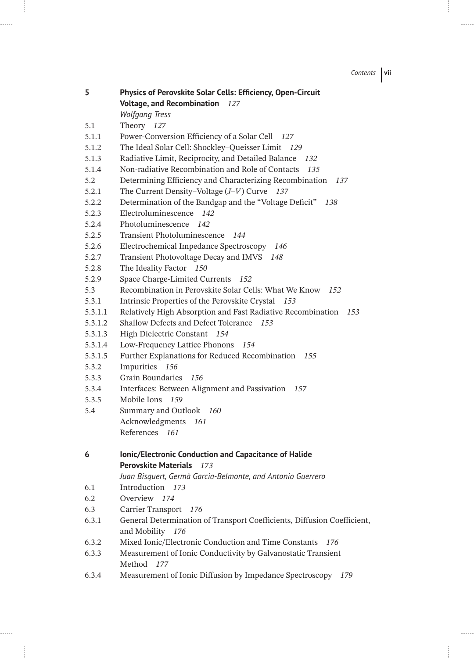*Contents* **vii**

| 5       | Physics of Perovskite Solar Cells: Efficiency, Open-Circuit             |
|---------|-------------------------------------------------------------------------|
|         | <b>Voltage, and Recombination</b><br>127                                |
|         | <b>Wolfgang Tress</b>                                                   |
| 5.1     | Theory 127                                                              |
| 5.1.1   | Power-Conversion Efficiency of a Solar Cell 127                         |
| 5.1.2   | The Ideal Solar Cell: Shockley-Queisser Limit<br>129                    |
| 5.1.3   | Radiative Limit, Reciprocity, and Detailed Balance<br>132               |
| 5.1.4   | Non-radiative Recombination and Role of Contacts<br>135                 |
| 5.2     | Determining Efficiency and Characterizing Recombination<br>137          |
| 5.2.1   | The Current Density-Voltage $(J-V)$ Curve 137                           |
| 5.2.2   | Determination of the Bandgap and the "Voltage Deficit"<br>138           |
| 5.2.3   | Electroluminescence<br>142                                              |
| 5.2.4   | Photoluminescence<br>142                                                |
| 5.2.5   | Transient Photoluminescence<br>144                                      |
| 5.2.6   | Electrochemical Impedance Spectroscopy<br>146                           |
| 5.2.7   | Transient Photovoltage Decay and IMVS<br>148                            |
| 5.2.8   | The Ideality Factor 150                                                 |
| 5.2.9   | Space Charge-Limited Currents<br>152                                    |
| 5.3     | Recombination in Perovskite Solar Cells: What We Know<br>152            |
| 5.3.1   | Intrinsic Properties of the Perovskite Crystal 153                      |
| 5.3.1.1 | Relatively High Absorption and Fast Radiative Recombination<br>153      |
| 5.3.1.2 | Shallow Defects and Defect Tolerance<br>153                             |
| 5.3.1.3 | High Dielectric Constant<br>- 154                                       |
| 5.3.1.4 | Low-Frequency Lattice Phonons<br>154                                    |
| 5.3.1.5 | Further Explanations for Reduced Recombination<br>155                   |
| 5.3.2   | Impurities<br>156                                                       |
| 5.3.3   | Grain Boundaries<br>156                                                 |
| 5.3.4   | Interfaces: Between Alignment and Passivation 157                       |
| 5.3.5   | Mobile Ions<br>159                                                      |
| 5.4     | Summary and Outlook 160                                                 |
|         | Acknowledgments<br>161                                                  |
|         | References 161                                                          |
| 6       | Ionic/Electronic Conduction and Capacitance of Halide                   |
|         | <b>Perovskite Materials</b><br>173                                      |
|         | Juan Bisquert, Germà Garcia-Belmonte, and Antonio Guerrero              |
| 6.1     | Introduction<br>173                                                     |
| 6.2     | Overview<br>174                                                         |
| 6.3     | Carrier Transport<br>176                                                |
| 6.3.1   | General Determination of Transport Coefficients, Diffusion Coefficient, |
|         | and Mobility<br>176                                                     |
| 6.3.2   | Mixed Ionic/Electronic Conduction and Time Constants<br>176             |
| 6.3.3   | Measurement of Ionic Conductivity by Galvanostatic Transient            |
|         | Method 177                                                              |
| 6.3.4   | Measurement of Ionic Diffusion by Impedance Spectroscopy 179            |

 $\mathbf{I}$ 

......

. . . . . .

 $\frac{1}{2}$ 

 $\overline{\phantom{a}}$ 

. . . . . .

 $\cdots$ 

 $\frac{1}{2}$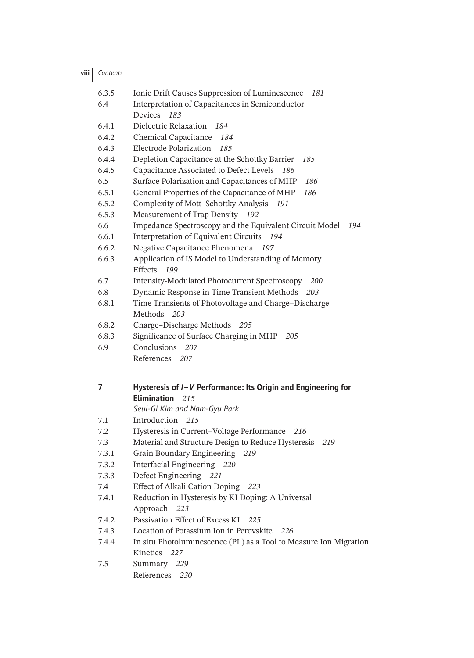| viii  <br>Contents |  |
|--------------------|--|
|--------------------|--|

| 6.3.5 | Ionic Drift Causes Suppression of Luminescence 181                          |
|-------|-----------------------------------------------------------------------------|
| 6.4   | Interpretation of Capacitances in Semiconductor                             |
|       | Devices<br>183                                                              |
| 6.4.1 | Dielectric Relaxation<br>184                                                |
| 6.4.2 | Chemical Capacitance<br>184                                                 |
| 6.4.3 | Electrode Polarization<br>185                                               |
| 6.4.4 | Depletion Capacitance at the Schottky Barrier<br>185                        |
| 6.4.5 | Capacitance Associated to Defect Levels<br>186                              |
| 6.5   | Surface Polarization and Capacitances of MHP<br>186                         |
| 6.5.1 | General Properties of the Capacitance of MHP<br>186                         |
| 6.5.2 | Complexity of Mott-Schottky Analysis<br>191                                 |
| 6.5.3 | Measurement of Trap Density 192                                             |
| 6.6   | Impedance Spectroscopy and the Equivalent Circuit Model<br>194              |
| 6.6.1 | Interpretation of Equivalent Circuits<br>194                                |
| 6.6.2 | Negative Capacitance Phenomena<br>197                                       |
| 6.6.3 | Application of IS Model to Understanding of Memory<br><b>Effects</b><br>199 |
| 6.7   | Intensity-Modulated Photocurrent Spectroscopy<br><i>200</i>                 |
| 6.8   | Dynamic Response in Time Transient Methods 203                              |
| 6.8.1 | Time Transients of Photovoltage and Charge-Discharge                        |
|       | Methods 203                                                                 |
| 6.8.2 | Charge-Discharge Methods 205                                                |
| 6.8.3 | Significance of Surface Charging in MHP<br>20.5                             |
| 6.9   | Conclusions 207                                                             |
|       | References 207                                                              |
| 7     | Hysteresis of /-V Performance: Its Origin and Engineering for               |
|       | Elimination 215                                                             |
|       | Seul-Gi Kim and Nam-Gyu Park                                                |
| 7.1   | Introduction<br>215                                                         |
| 7.2   | Hysteresis in Current-Voltage Performance<br>216                            |
| 7.3   | Material and Structure Design to Reduce Hysteresis<br>219                   |
| 7.3.1 | Grain Boundary Engineering<br>219                                           |
| 7.3.2 | Interfacial Engineering 220                                                 |
| 7.3.3 | Defect Engineering 221                                                      |
| 7.4   | Effect of Alkali Cation Doping 223                                          |
| 7.4.1 | Reduction in Hysteresis by KI Doping: A Universal                           |
|       | Approach<br>223                                                             |
| 7.4.2 | Passivation Effect of Excess KI<br>225                                      |
| 7.4.3 | Location of Potassium Ion in Perovskite<br>226                              |
| 7.4.4 | In situ Photoluminescence (PL) as a Tool to Measure Ion Migration           |
|       | Kinetics 227                                                                |
| 7.5   | Summary 229                                                                 |
|       | References 230                                                              |

ł

 $\cdots$ 

 $\frac{1}{2}$ 

 $\begin{array}{c} \begin{array}{c} \begin{array}{c} \end{array} \\ \begin{array}{c} \end{array} \end{array} \end{array}$ 

 $\frac{1}{2}$ 

......

......

 $\mathcal{L}^{\text{max}}$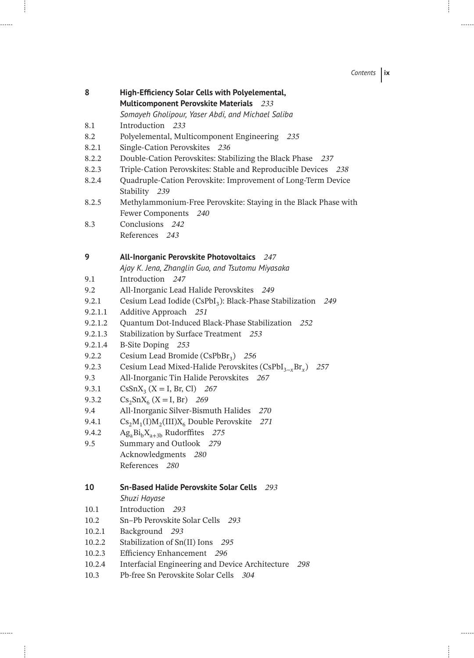*Contents* **ix**

 $\overline{\phantom{a}}$ 

 $\frac{1}{2}$ 

| 8       | High-Efficiency Solar Cells with Polyelemental,                                            |
|---------|--------------------------------------------------------------------------------------------|
|         | Multicomponent Perovskite Materials 233                                                    |
|         | Somayeh Gholipour, Yaser Abdi, and Michael Saliba                                          |
| 8.1     | Introduction 233                                                                           |
| 8.2     | Polyelemental, Multicomponent Engineering 235                                              |
| 8.2.1   | Single-Cation Perovskites 236                                                              |
| 8.2.2   | Double-Cation Perovskites: Stabilizing the Black Phase 237                                 |
| 8.2.3   | Triple-Cation Perovskites: Stable and Reproducible Devices 238                             |
| 8.2.4   | Quadruple-Cation Perovskite: Improvement of Long-Term Device                               |
|         | Stability 239                                                                              |
| 8.2.5   | Methylammonium-Free Perovskite: Staying in the Black Phase with                            |
|         | <b>Fewer Components</b><br>240                                                             |
| 8.3     | Conclusions<br>242                                                                         |
|         | References 243                                                                             |
|         |                                                                                            |
| 9       | All-Inorganic Perovskite Photovoltaics 247                                                 |
|         | Ajay K. Jena, Zhanglin Guo, and Tsutomu Miyasaka                                           |
| 9.1     | Introduction 247                                                                           |
| 9.2     | All-Inorganic Lead Halide Perovskites<br>- 249                                             |
| 9.2.1   | Cesium Lead Iodide (CsPbI <sub>3</sub> ): Black-Phase Stabilization<br>249                 |
| 9.2.1.1 | Additive Approach 251                                                                      |
| 9.2.1.2 | Quantum Dot-Induced Black-Phase Stabilization<br>252                                       |
| 9.2.1.3 | Stabilization by Surface Treatment 253                                                     |
| 9.2.1.4 | B-Site Doping 253                                                                          |
| 9.2.2   | Cesium Lead Bromide (CsPbBr <sub>3</sub> ) 256                                             |
| 9.2.3   | Cesium Lead Mixed-Halide Perovskites (CsPbI <sub>3-x</sub> Br <sub>x</sub> ) 257           |
| 9.3     | All-Inorganic Tin Halide Perovskites 267                                                   |
| 9.3.1   | $CSSnX_3$ (X = I, Br, Cl) 267                                                              |
| 9.3.2   | $Cs_2SnX_6$ (X = I, Br) 269                                                                |
| 9.4     | All-Inorganic Silver-Bismuth Halides<br>270                                                |
| 9.4.1   | $\text{Cs}_2\text{M}_1\text{(I)}\text{M}_2\text{(III)}\text{X}_6$ Double Perovskite<br>271 |
| 9.4.2   | $\text{Ag}_a\text{Bi}_b\text{X}_{a+3b}$ Rudorffites 275                                    |
| 9.5     | Summary and Outlook 279                                                                    |
|         | Acknowledgments 280                                                                        |
|         | References 280                                                                             |
|         |                                                                                            |
| 10      | <b>Sn-Based Halide Perovskite Solar Cells</b><br>293                                       |
|         | Shuzi Hayase                                                                               |
| 10.1    | Introduction<br>293                                                                        |
| 10.2    | Sn-Pb Perovskite Solar Cells<br>293                                                        |
| 10.2.1  | Background<br>- 293                                                                        |
| 10.2.2  | Stabilization of Sn(II) Ions<br>295                                                        |
| 10.2.3  | Efficiency Enhancement 296                                                                 |
| 10.2.4  | Interfacial Engineering and Device Architecture<br>298                                     |
| 10.3    | Pb-free Sn Perovskite Solar Cells 304                                                      |

 $\overline{\phantom{a}}$ 

. . . . . .

. . . . . .

 $\frac{1}{2}$ 

 $\frac{1}{2}$ 

 $1.1.1.1$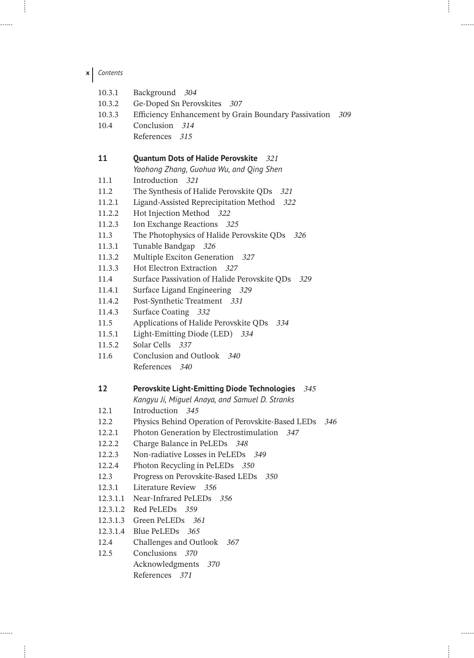| x | Contents |
|---|----------|
|---|----------|

ł

......

. . . . . .

ţ

| 10.3.1           | Background 304                                                                                                 |
|------------------|----------------------------------------------------------------------------------------------------------------|
| 10.3.2           | Ge-Doped Sn Perovskites 307                                                                                    |
| 10.3.3           | Efficiency Enhancement by Grain Boundary Passivation<br>309                                                    |
| 10.4             | Conclusion 314                                                                                                 |
|                  | References 315                                                                                                 |
| 11               | <b>Quantum Dots of Halide Perovskite</b> 321                                                                   |
|                  | Yaohong Zhang, Guohua Wu, and Qing Shen<br>Introduction 321                                                    |
| 11.1             |                                                                                                                |
| 11.2<br>11.2.1   | The Synthesis of Halide Perovskite QDs 321<br>Ligand-Assisted Reprecipitation Method 322                       |
|                  | Hot Injection Method 322                                                                                       |
| 11.2.2<br>11.2.3 | Ion Exchange Reactions 325                                                                                     |
| 11.3             | The Photophysics of Halide Perovskite QDs 326                                                                  |
| 11.3.1           | Tunable Bandgap 326                                                                                            |
| 11.3.2           | Multiple Exciton Generation 327                                                                                |
| 11.3.3           | Hot Electron Extraction 327                                                                                    |
| 11.4             | Surface Passivation of Halide Perovskite QDs<br>329                                                            |
| 11.4.1           | Surface Ligand Engineering 329                                                                                 |
| 11.4.2           | Post-Synthetic Treatment 331                                                                                   |
| 11.4.3           | Surface Coating 332                                                                                            |
| 11.5             | Applications of Halide Perovskite QDs 334                                                                      |
| 11.5.1           | Light-Emitting Diode (LED) 334                                                                                 |
|                  |                                                                                                                |
| 11.5.2           | Solar Cells 337                                                                                                |
| 11.6             | Conclusion and Outlook 340                                                                                     |
|                  | References 340                                                                                                 |
| 12               | <b>Perovskite Light-Emitting Diode Technologies</b><br>- 345<br>Kangyu Ji, Miguel Anaya, and Samuel D. Stranks |
| 12.1             | Introduction 345                                                                                               |
| 12.2             | Physics Behind Operation of Perovskite-Based LEDs 346                                                          |
| 12.2.1           | Photon Generation by Electrostimulation<br>347                                                                 |
| 12.2.2           | Charge Balance in PeLEDs<br>348                                                                                |
| 12.2.3           | Non-radiative Losses in PeLEDs 349                                                                             |
| 12.2.4           | Photon Recycling in PeLEDs 350                                                                                 |
| 12.3             | Progress on Perovskite-Based LEDs<br>350                                                                       |
| 12.3.1           | Literature Review<br>356                                                                                       |
| 12.3.1.1         | Near-Infrared PeLEDs<br>356                                                                                    |
| 12.3.1.2         | Red PeLEDs 359                                                                                                 |
| 12.3.1.3         | Green PeLEDs<br>361                                                                                            |
| 12.3.1.4         | <b>Blue PeLEDs</b><br>- 365                                                                                    |
| 12.4             | Challenges and Outlook<br>367                                                                                  |
| 12.5             | Conclusions 370                                                                                                |
|                  | Acknowledgments<br>370<br>References 371                                                                       |

ţ

 $\cdots$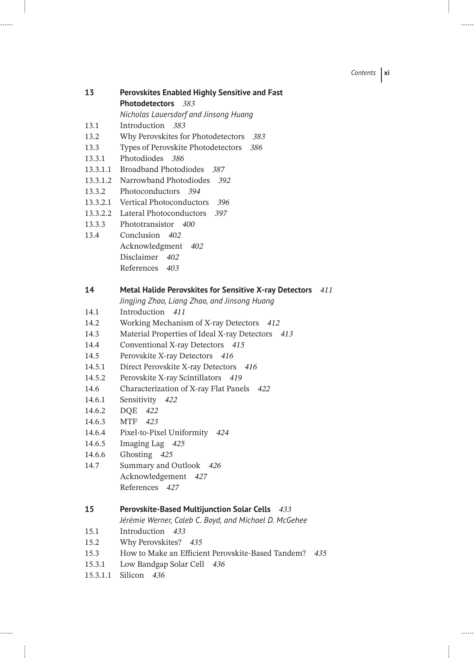*Contents* **xi**

 $1.1.1.1$ 

| 13   | <b>Perovskites Enabled Highly Sensitive and Fast</b> |
|------|------------------------------------------------------|
|      | <b>Photodetectors</b> 383                            |
|      | Nicholas Lauersdorf and Jinsong Huang                |
| 13.1 | Introduction 383                                     |
| 122  | Why Doverables for Destadatestars<br>າດາ             |

- 13.2 Why Perovskites for Photodetectors *383* 13.3 Types of Perovskite Photodetectors *386*
- 13.3.1 Photodiodes *386*
- 13.3.1.1 Broadband Photodiodes *387*

. . . . . .

......

- 13.3.1.2 Narrowband Photodiodes *392*
- 13.3.2 Photoconductors *394*
- 13.3.2.1 Vertical Photoconductors *396*
- 13.3.2.2 Lateral Photoconductors *397*
- 13.3.3 Phototransistor *400*
- 13.4 Conclusion *402* Acknowledgment *402* Disclaimer *402* References *403*

## **14 Metal Halide Perovskites for Sensitive X-ray Detectors** *411*

- *Jingjing Zhao, Liang Zhao, and Jinsong Huang*
- 14.1 Introduction *411*
- 14.2 Working Mechanism of X-ray Detectors *412*
- 14.3 Material Properties of Ideal X-ray Detectors *413*
- 14.4 Conventional X-ray Detectors *415*
- 14.5 Perovskite X-ray Detectors *416*
- 14.5.1 Direct Perovskite X-ray Detectors *416*
- 14.5.2 Perovskite X-ray Scintillators *419*
- 14.6 Characterization of X-ray Flat Panels *422*
- 14.6.1 Sensitivity *422*
- 14.6.2 DQE *422*
- 14.6.3 MTF *423*
- 14.6.4 Pixel-to-Pixel Uniformity *424*
- 14.6.5 Imaging Lag *425*
- 14.6.6 Ghosting *425*
- 14.7 Summary and Outlook *426* Acknowledgement *427* References *427*

## **15 Perovskite-Based Multijunction Solar Cells** *433*

- *Jérémie Werner, Caleb C. Boyd, and Michael D. McGehee*
- 15.1 Introduction *433*
- 15.2 Why Perovskites? *435*
- 15.3 How to Make an Efficient Perovskite-Based Tandem? *435*
- 15.3.1 Low Bandgap Solar Cell *436*
- 15.3.1.1 Silicon *436*